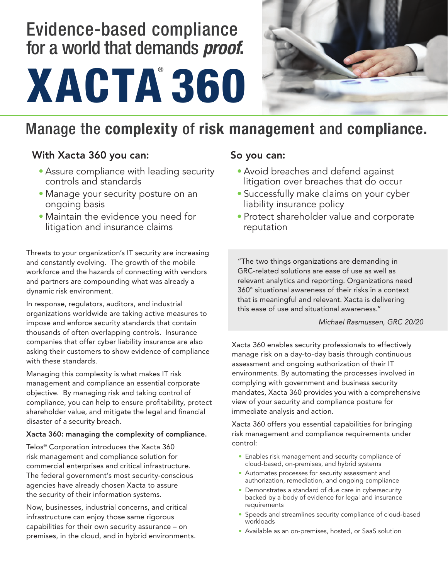# Evidence-based compliance for a world that demands *proof***.**





# Manage the **complexity** of **risk management** and **compliance.**

## With Xacta 360 you can:

- Assure compliance with leading security controls and standards
- Manage your security posture on an ongoing basis
- Maintain the evidence you need for litigation and insurance claims

Threats to your organization's IT security are increasing and constantly evolving. The growth of the mobile workforce and the hazards of connecting with vendors and partners are compounding what was already a dynamic risk environment.

In response, regulators, auditors, and industrial organizations worldwide are taking active measures to impose and enforce security standards that contain thousands of often overlapping controls. Insurance companies that offer cyber liability insurance are also asking their customers to show evidence of compliance with these standards.

Managing this complexity is what makes IT risk management and compliance an essential corporate objective. By managing risk and taking control of compliance, you can help to ensure profitability, protect shareholder value, and mitigate the legal and financial disaster of a security breach.

### Xacta 360: managing the complexity of compliance.

Telos® Corporation introduces the Xacta 360 risk management and compliance solution for commercial enterprises and critical infrastructure. The federal government's most security-conscious agencies have already chosen Xacta to assure the security of their information systems.

Now, businesses, industrial concerns, and critical infrastructure can enjoy those same rigorous capabilities for their own security assurance – on premises, in the cloud, and in hybrid environments.

## So you can:

- Avoid breaches and defend against litigation over breaches that do occur
- Successfully make claims on your cyber liability insurance policy
- Protect shareholder value and corporate reputation

"The two things organizations are demanding in GRC-related solutions are ease of use as well as relevant analytics and reporting. Organizations need 360° situational awareness of their risks in a context that is meaningful and relevant. Xacta is delivering this ease of use and situational awareness."

### *Michael Rasmussen, GRC 20/20*

Xacta 360 enables security professionals to effectively manage risk on a day-to-day basis through continuous assessment and ongoing authorization of their IT environments. By automating the processes involved in complying with government and business security mandates, Xacta 360 provides you with a comprehensive view of your security and compliance posture for immediate analysis and action.

Xacta 360 offers you essential capabilities for bringing risk management and compliance requirements under control:

- Enables risk management and security compliance of cloud-based, on-premises, and hybrid systems
- Automates processes for security assessment and authorization, remediation, and ongoing compliance
- Demonstrates a standard of due care in cybersecurity backed by a body of evidence for legal and insurance requirements
- Speeds and streamlines security compliance of cloud-based workloads
- Available as an on-premises, hosted, or SaaS solution